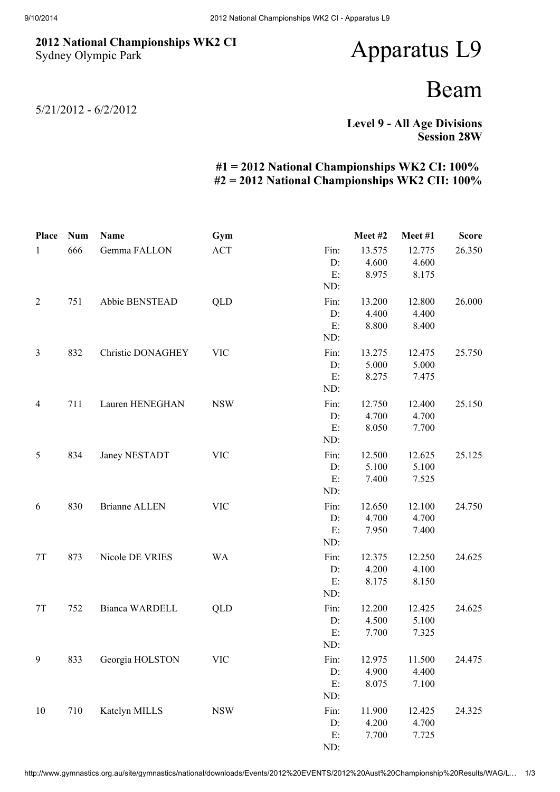## 2012 National Championships WK2 CI Sydney Olympic Park

## Apparatus L9

## Beam

5/21/2012 - 6/2/2012

Level 9 - All Age Divisions Session 28W

## #1 = 2012 National Championships WK2 CI: 100% #2 = 2012 National Championships WK2 CII: 100%

| Place          | <b>Num</b> | Name                     | Gym        |      | Meet#2 | Meet#1 | <b>Score</b> |
|----------------|------------|--------------------------|------------|------|--------|--------|--------------|
| $\mathbf{1}$   | 666        | Gemma FALLON             | <b>ACT</b> | Fin: | 13.575 | 12.775 | 26.350       |
|                |            |                          |            | D:   | 4.600  | 4.600  |              |
|                |            |                          |            | E:   | 8.975  | 8.175  |              |
|                |            |                          |            | ND:  |        |        |              |
| $\overline{2}$ | 751        | Abbie BENSTEAD           | QLD        | Fin: | 13.200 | 12.800 | 26.000       |
|                |            |                          |            | D:   | 4.400  | 4.400  |              |
|                |            |                          |            | E:   | 8.800  | 8.400  |              |
|                |            |                          |            | ND:  |        |        |              |
| 3              | 832        | <b>Christie DONAGHEY</b> | <b>VIC</b> | Fin: | 13.275 | 12.475 | 25.750       |
|                |            |                          |            | D:   | 5.000  | 5.000  |              |
|                |            |                          |            | E:   | 8.275  | 7.475  |              |
|                |            |                          |            | ND:  |        |        |              |
| $\overline{4}$ | 711        | Lauren HENEGHAN          | <b>NSW</b> | Fin: | 12.750 | 12.400 | 25.150       |
|                |            |                          |            | D:   | 4.700  | 4.700  |              |
|                |            |                          |            | E:   | 8.050  | 7.700  |              |
|                |            |                          |            | ND:  |        |        |              |
| 5              | 834        | Janey NESTADT            | <b>VIC</b> | Fin: | 12.500 | 12.625 | 25.125       |
|                |            |                          |            | D:   | 5.100  | 5.100  |              |
|                |            |                          |            | E:   | 7.400  | 7.525  |              |
|                |            |                          |            | ND:  |        |        |              |
| 6              | 830        | <b>Brianne ALLEN</b>     | <b>VIC</b> | Fin: | 12.650 | 12.100 | 24.750       |
|                |            |                          |            | D:   | 4.700  | 4.700  |              |
|                |            |                          |            | E:   | 7.950  | 7.400  |              |
|                |            |                          |            | ND:  |        |        |              |
| 7T             | 873        | Nicole DE VRIES          | <b>WA</b>  | Fin: | 12.375 | 12.250 | 24.625       |
|                |            |                          |            | D:   | 4.200  | 4.100  |              |
|                |            |                          |            | E:   | 8.175  | 8.150  |              |
|                |            |                          |            | ND:  |        |        |              |
| 7T             | 752        | Bianca WARDELL           | <b>QLD</b> | Fin: | 12.200 | 12.425 | 24.625       |
|                |            |                          |            | D:   | 4.500  | 5.100  |              |
|                |            |                          |            | E:   | 7.700  | 7.325  |              |
|                |            |                          |            | ND:  |        |        |              |
| 9              | 833        | Georgia HOLSTON          | <b>VIC</b> | Fin: | 12.975 | 11.500 | 24.475       |
|                |            |                          |            | D:   | 4.900  | 4.400  |              |
|                |            |                          |            | E:   | 8.075  | 7.100  |              |
|                |            |                          |            | ND:  |        |        |              |
| 10             | 710        | Katelyn MILLS            | <b>NSW</b> | Fin: | 11.900 | 12.425 | 24.325       |
|                |            |                          |            | D:   | 4.200  | 4.700  |              |
|                |            |                          |            | E:   | 7.700  | 7.725  |              |
|                |            |                          |            | ND:  |        |        |              |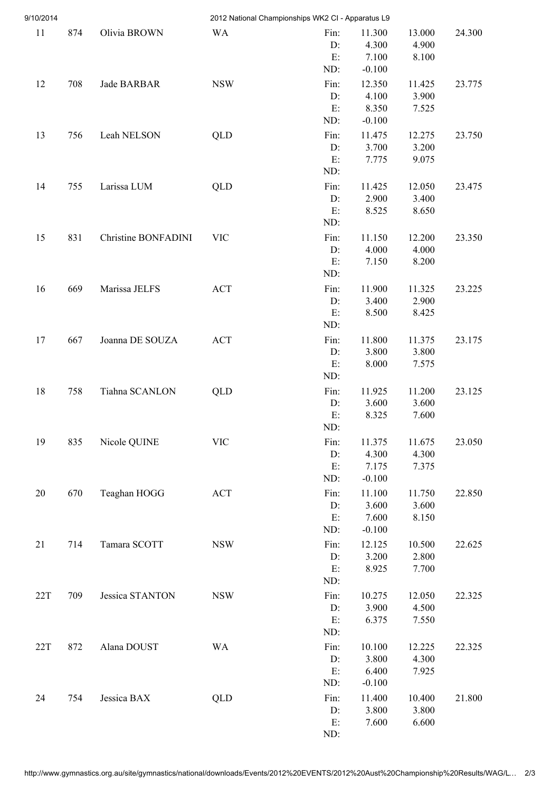| 9/10/2014 |     |                     | 2012 National Championships WK2 CI - Apparatus L9 |                            |                                      |                          |        |
|-----------|-----|---------------------|---------------------------------------------------|----------------------------|--------------------------------------|--------------------------|--------|
| $11\,$    | 874 | Olivia BROWN        | <b>WA</b>                                         | Fin:<br>D:<br>E:<br>ND:    | 11.300<br>4.300<br>7.100<br>$-0.100$ | 13.000<br>4.900<br>8.100 | 24.300 |
| 12        | 708 | Jade BARBAR         | <b>NSW</b>                                        | Fin:<br>D:<br>E:<br>ND:    | 12.350<br>4.100<br>8.350<br>$-0.100$ | 11.425<br>3.900<br>7.525 | 23.775 |
| 13        | 756 | Leah NELSON         | QLD                                               | Fin:<br>D:<br>E:<br>ND:    | 11.475<br>3.700<br>7.775             | 12.275<br>3.200<br>9.075 | 23.750 |
| 14        | 755 | Larissa LUM         | QLD                                               | Fin:<br>D:<br>E:<br>ND:    | 11.425<br>2.900<br>8.525             | 12.050<br>3.400<br>8.650 | 23.475 |
| 15        | 831 | Christine BONFADINI | <b>VIC</b>                                        | Fin:<br>D:<br>E:<br>ND:    | 11.150<br>4.000<br>7.150             | 12.200<br>4.000<br>8.200 | 23.350 |
| 16        | 669 | Marissa JELFS       | <b>ACT</b>                                        | Fin:<br>D:<br>E:<br>ND:    | 11.900<br>3.400<br>8.500             | 11.325<br>2.900<br>8.425 | 23.225 |
| 17        | 667 | Joanna DE SOUZA     | <b>ACT</b>                                        | Fin:<br>D:<br>E:<br>ND:    | 11.800<br>3.800<br>8.000             | 11.375<br>3.800<br>7.575 | 23.175 |
| 18        | 758 | Tiahna SCANLON      | QLD                                               | Fin:<br>$D$ :<br>E:<br>ND: | 11.925<br>3.600<br>8.325             | 11.200<br>3.600<br>7.600 | 23.125 |
| 19        | 835 | Nicole QUINE        | <b>VIC</b>                                        | Fin:<br>D:<br>E:<br>ND:    | 11.375<br>4.300<br>7.175<br>$-0.100$ | 11.675<br>4.300<br>7.375 | 23.050 |
| 20        | 670 | Teaghan HOGG        | <b>ACT</b>                                        | Fin:<br>D:<br>E:<br>ND:    | 11.100<br>3.600<br>7.600<br>$-0.100$ | 11.750<br>3.600<br>8.150 | 22.850 |
| 21        | 714 | Tamara SCOTT        | <b>NSW</b>                                        | Fin:<br>D:<br>E:<br>ND:    | 12.125<br>3.200<br>8.925             | 10.500<br>2.800<br>7.700 | 22.625 |
| 22T       | 709 | Jessica STANTON     | <b>NSW</b>                                        | Fin:<br>D:<br>E:<br>ND:    | 10.275<br>3.900<br>6.375             | 12.050<br>4.500<br>7.550 | 22.325 |
| 22T       | 872 | Alana DOUST         | <b>WA</b>                                         | Fin:<br>D:<br>E:<br>ND:    | 10.100<br>3.800<br>6.400<br>$-0.100$ | 12.225<br>4.300<br>7.925 | 22.325 |
| 24        | 754 | Jessica BAX         | QLD                                               | Fin:<br>D:<br>E:<br>ND:    | 11.400<br>3.800<br>7.600             | 10.400<br>3.800<br>6.600 | 21.800 |